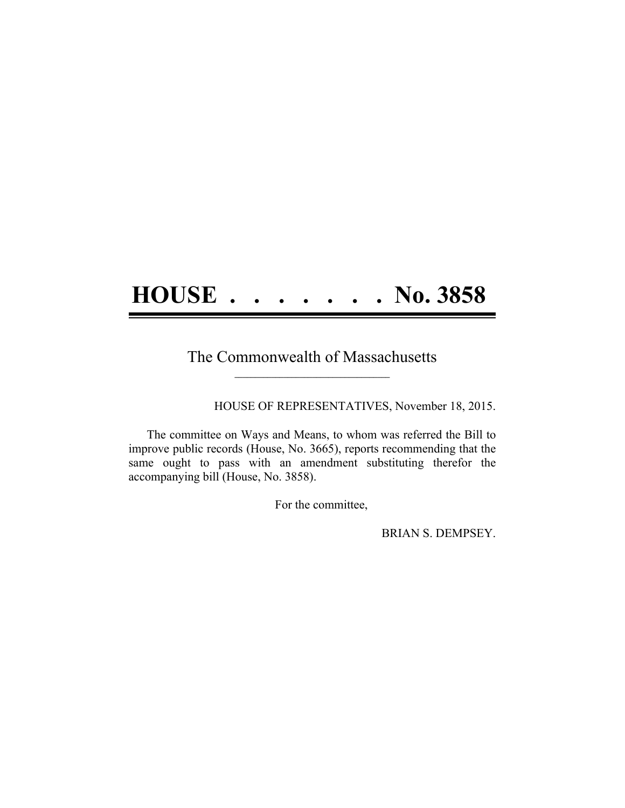## **HOUSE . . . . . . . No. 3858**

## The Commonwealth of Massachusetts **\_\_\_\_\_\_\_\_\_\_\_\_\_\_\_\_\_\_\_\_\_\_\_\_\_\_\_\_\_\_\_\_\_\_\_\_\_\_**

HOUSE OF REPRESENTATIVES, November 18, 2015.

The committee on Ways and Means, to whom was referred the Bill to improve public records (House, No. 3665), reports recommending that the same ought to pass with an amendment substituting therefor the accompanying bill (House, No. 3858).

For the committee,

BRIAN S. DEMPSEY.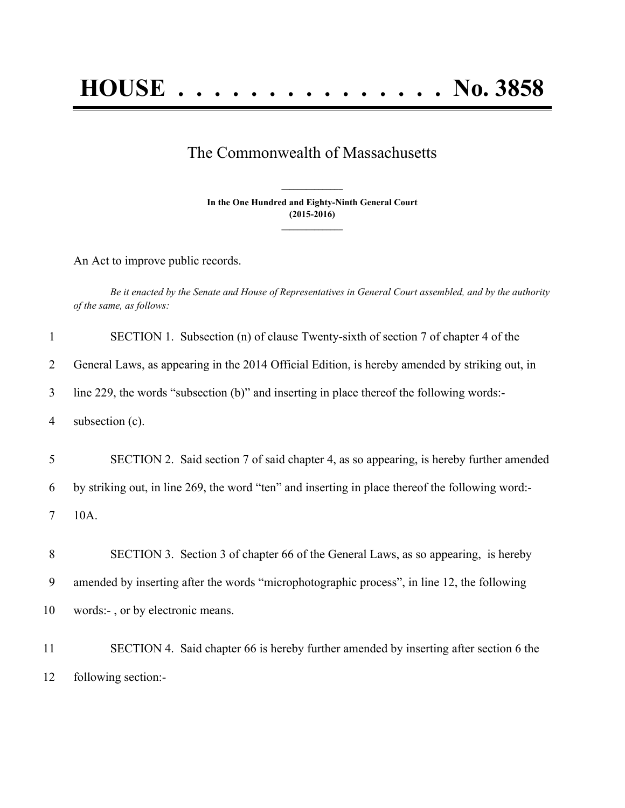## The Commonwealth of Massachusetts

**In the One Hundred and Eighty-Ninth General Court (2015-2016) \_\_\_\_\_\_\_\_\_\_\_\_\_\_\_**

**\_\_\_\_\_\_\_\_\_\_\_\_\_\_\_**

An Act to improve public records.

Be it enacted by the Senate and House of Representatives in General Court assembled, and by the authority *of the same, as follows:*

| $\mathbf{1}$ | SECTION 1. Subsection (n) of clause Twenty-sixth of section 7 of chapter 4 of the                |
|--------------|--------------------------------------------------------------------------------------------------|
| 2            | General Laws, as appearing in the 2014 Official Edition, is hereby amended by striking out, in   |
| 3            | line 229, the words "subsection (b)" and inserting in place thereof the following words:-        |
| 4            | subsection (c).                                                                                  |
| 5            | SECTION 2. Said section 7 of said chapter 4, as so appearing, is hereby further amended          |
| 6            | by striking out, in line 269, the word "ten" and inserting in place thereof the following word:- |
| 7            | 10A.                                                                                             |
| 8            | SECTION 3. Section 3 of chapter 66 of the General Laws, as so appearing, is hereby               |
| 9            | amended by inserting after the words "microphotographic process", in line 12, the following      |
| 10           | words:-, or by electronic means.                                                                 |
| 11           | SECTION 4. Said chapter 66 is hereby further amended by inserting after section 6 the            |
| 12           | following section:-                                                                              |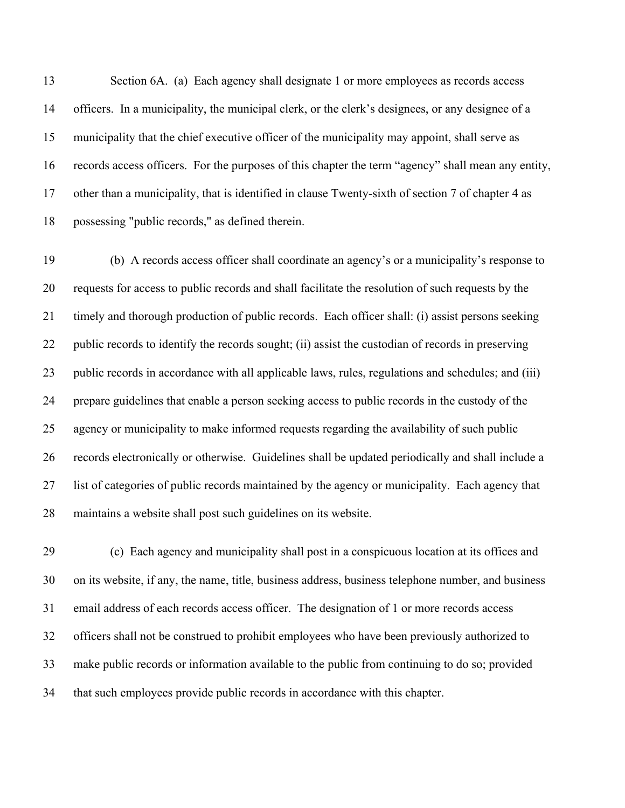Section 6A. (a) Each agency shall designate 1 or more employees as records access officers. In a municipality, the municipal clerk, or the clerk's designees, or any designee of a municipality that the chief executive officer of the municipality may appoint, shall serve as records access officers. For the purposes of this chapter the term "agency" shall mean any entity, other than a municipality, that is identified in clause Twenty-sixth of section 7 of chapter 4 as possessing "public records," as defined therein.

 (b) A records access officer shall coordinate an agency's or a municipality's response to requests for access to public records and shall facilitate the resolution of such requests by the timely and thorough production of public records. Each officer shall: (i) assist persons seeking public records to identify the records sought; (ii) assist the custodian of records in preserving public records in accordance with all applicable laws, rules, regulations and schedules; and (iii) prepare guidelines that enable a person seeking access to public records in the custody of the agency or municipality to make informed requests regarding the availability of such public records electronically or otherwise. Guidelines shall be updated periodically and shall include a list of categories of public records maintained by the agency or municipality. Each agency that maintains a website shall post such guidelines on its website.

 (c) Each agency and municipality shall post in a conspicuous location at its offices and on its website, if any, the name, title, business address, business telephone number, and business email address of each records access officer. The designation of 1 or more records access officers shall not be construed to prohibit employees who have been previously authorized to make public records or information available to the public from continuing to do so; provided that such employees provide public records in accordance with this chapter.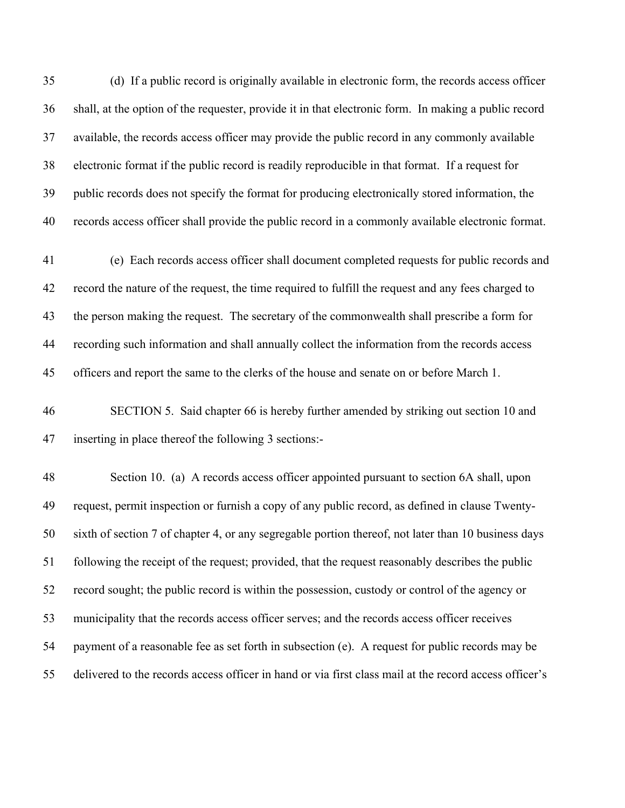(d) If a public record is originally available in electronic form, the records access officer shall, at the option of the requester, provide it in that electronic form. In making a public record available, the records access officer may provide the public record in any commonly available electronic format if the public record is readily reproducible in that format. If a request for public records does not specify the format for producing electronically stored information, the records access officer shall provide the public record in a commonly available electronic format.

 (e) Each records access officer shall document completed requests for public records and record the nature of the request, the time required to fulfill the request and any fees charged to the person making the request. The secretary of the commonwealth shall prescribe a form for recording such information and shall annually collect the information from the records access officers and report the same to the clerks of the house and senate on or before March 1.

 SECTION 5. Said chapter 66 is hereby further amended by striking out section 10 and inserting in place thereof the following 3 sections:-

 Section 10. (a) A records access officer appointed pursuant to section 6A shall, upon request, permit inspection or furnish a copy of any public record, as defined in clause Twenty- sixth of section 7 of chapter 4, or any segregable portion thereof, not later than 10 business days following the receipt of the request; provided, that the request reasonably describes the public record sought; the public record is within the possession, custody or control of the agency or municipality that the records access officer serves; and the records access officer receives payment of a reasonable fee as set forth in subsection (e). A request for public records may be delivered to the records access officer in hand or via first class mail at the record access officer's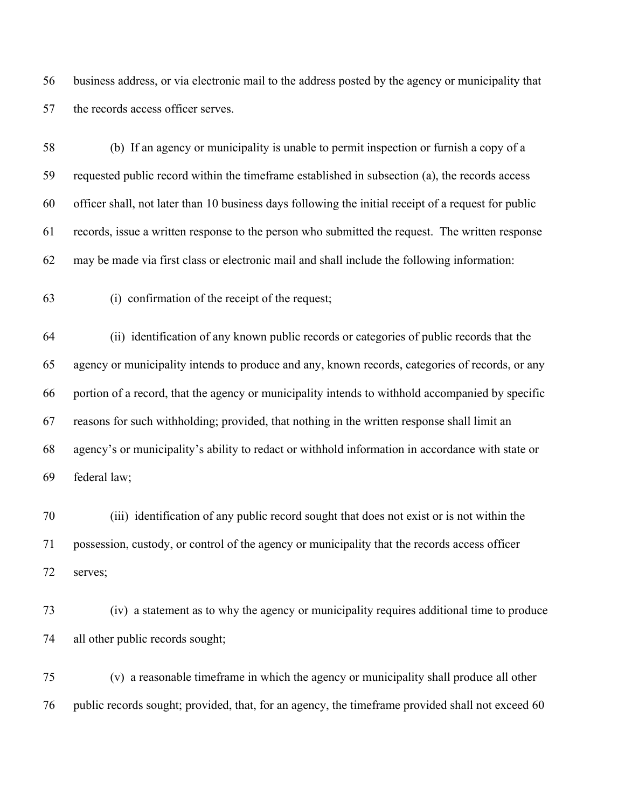business address, or via electronic mail to the address posted by the agency or municipality that 57 the records access officer serves.

 (b) If an agency or municipality is unable to permit inspection or furnish a copy of a requested public record within the timeframe established in subsection (a), the records access officer shall, not later than 10 business days following the initial receipt of a request for public records, issue a written response to the person who submitted the request. The written response may be made via first class or electronic mail and shall include the following information:

(i) confirmation of the receipt of the request;

 (ii) identification of any known public records or categories of public records that the agency or municipality intends to produce and any, known records, categories of records, or any portion of a record, that the agency or municipality intends to withhold accompanied by specific reasons for such withholding; provided, that nothing in the written response shall limit an agency's or municipality's ability to redact or withhold information in accordance with state or federal law;

 (iii) identification of any public record sought that does not exist or is not within the possession, custody, or control of the agency or municipality that the records access officer serves;

 (iv) a statement as to why the agency or municipality requires additional time to produce all other public records sought;

 (v) a reasonable timeframe in which the agency or municipality shall produce all other public records sought; provided, that, for an agency, the timeframe provided shall not exceed 60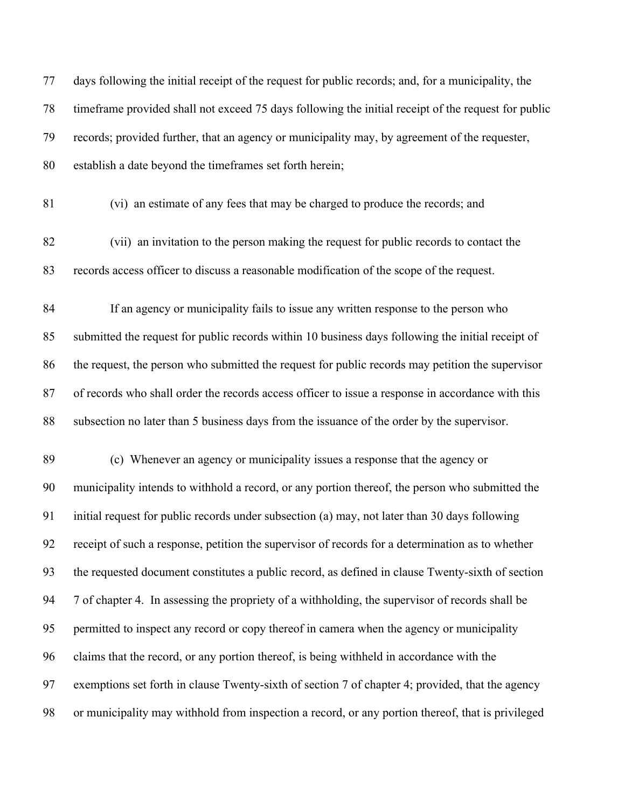| 77 | days following the initial receipt of the request for public records; and, for a municipality, the  |
|----|-----------------------------------------------------------------------------------------------------|
| 78 | timeframe provided shall not exceed 75 days following the initial receipt of the request for public |
| 79 | records; provided further, that an agency or municipality may, by agreement of the requester,       |
| 80 | establish a date beyond the timeframes set forth herein;                                            |
| 81 | (vi) an estimate of any fees that may be charged to produce the records; and                        |
| 82 | (vii) an invitation to the person making the request for public records to contact the              |
| 83 | records access officer to discuss a reasonable modification of the scope of the request.            |
| 84 | If an agency or municipality fails to issue any written response to the person who                  |
| 85 | submitted the request for public records within 10 business days following the initial receipt of   |
| 86 | the request, the person who submitted the request for public records may petition the supervisor    |
| 87 | of records who shall order the records access officer to issue a response in accordance with this   |
| 88 | subsection no later than 5 business days from the issuance of the order by the supervisor.          |
| 89 | (c) Whenever an agency or municipality issues a response that the agency or                         |
| 90 | municipality intends to withhold a record, or any portion thereof, the person who submitted the     |
| 91 | initial request for public records under subsection (a) may, not later than 30 days following       |
| 92 | receipt of such a response, petition the supervisor of records for a determination as to whether    |
| 93 | the requested document constitutes a public record, as defined in clause Twenty-sixth of section    |
| 94 | 7 of chapter 4. In assessing the propriety of a withholding, the supervisor of records shall be     |
| 95 | permitted to inspect any record or copy thereof in camera when the agency or municipality           |
| 96 | claims that the record, or any portion thereof, is being withheld in accordance with the            |
| 97 | exemptions set forth in clause Twenty-sixth of section 7 of chapter 4; provided, that the agency    |
| 98 | or municipality may withhold from inspection a record, or any portion thereof, that is privileged   |
|    |                                                                                                     |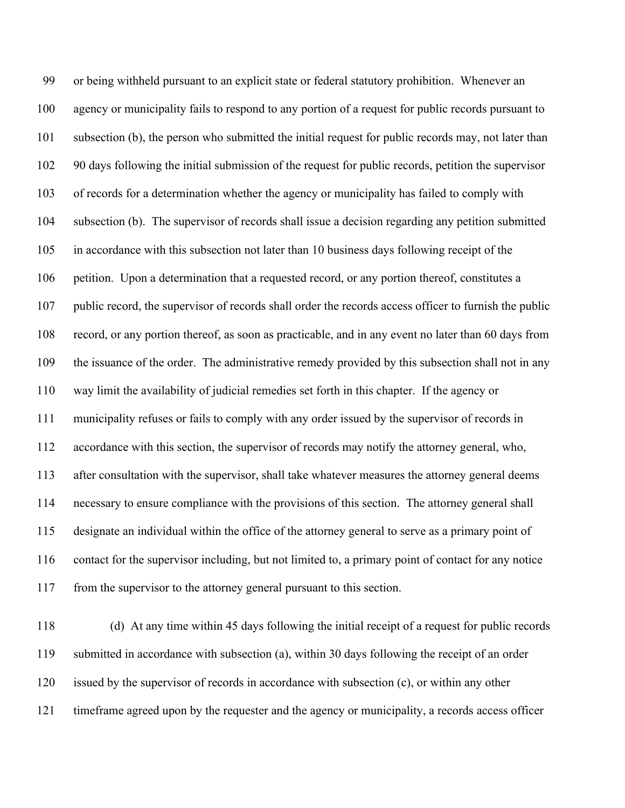or being withheld pursuant to an explicit state or federal statutory prohibition. Whenever an agency or municipality fails to respond to any portion of a request for public records pursuant to subsection (b), the person who submitted the initial request for public records may, not later than 90 days following the initial submission of the request for public records, petition the supervisor of records for a determination whether the agency or municipality has failed to comply with subsection (b). The supervisor of records shall issue a decision regarding any petition submitted in accordance with this subsection not later than 10 business days following receipt of the petition. Upon a determination that a requested record, or any portion thereof, constitutes a public record, the supervisor of records shall order the records access officer to furnish the public record, or any portion thereof, as soon as practicable, and in any event no later than 60 days from 109 the issuance of the order. The administrative remedy provided by this subsection shall not in any way limit the availability of judicial remedies set forth in this chapter. If the agency or municipality refuses or fails to comply with any order issued by the supervisor of records in accordance with this section, the supervisor of records may notify the attorney general, who, after consultation with the supervisor, shall take whatever measures the attorney general deems necessary to ensure compliance with the provisions of this section. The attorney general shall designate an individual within the office of the attorney general to serve as a primary point of contact for the supervisor including, but not limited to, a primary point of contact for any notice from the supervisor to the attorney general pursuant to this section.

 (d) At any time within 45 days following the initial receipt of a request for public records submitted in accordance with subsection (a), within 30 days following the receipt of an order issued by the supervisor of records in accordance with subsection (c), or within any other timeframe agreed upon by the requester and the agency or municipality, a records access officer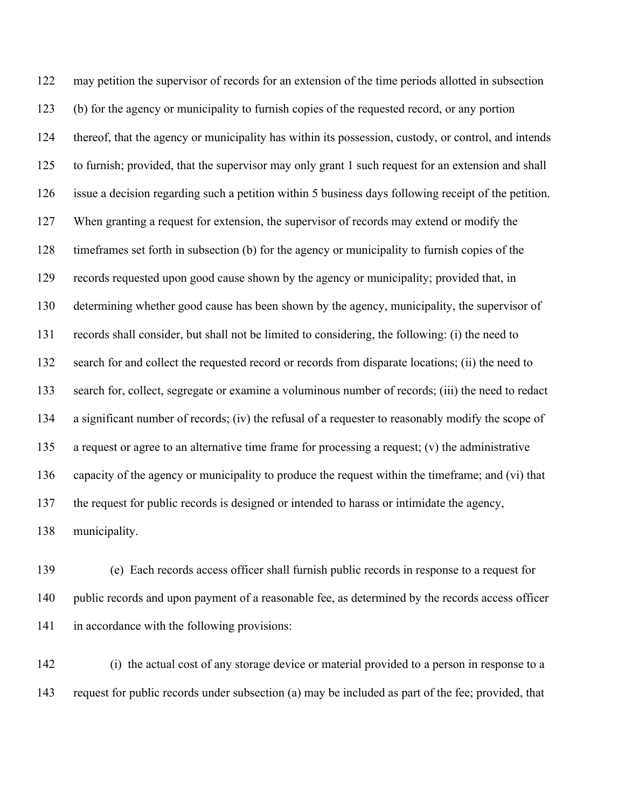may petition the supervisor of records for an extension of the time periods allotted in subsection (b) for the agency or municipality to furnish copies of the requested record, or any portion thereof, that the agency or municipality has within its possession, custody, or control, and intends to furnish; provided, that the supervisor may only grant 1 such request for an extension and shall issue a decision regarding such a petition within 5 business days following receipt of the petition. When granting a request for extension, the supervisor of records may extend or modify the timeframes set forth in subsection (b) for the agency or municipality to furnish copies of the records requested upon good cause shown by the agency or municipality; provided that, in determining whether good cause has been shown by the agency, municipality, the supervisor of records shall consider, but shall not be limited to considering, the following: (i) the need to search for and collect the requested record or records from disparate locations; (ii) the need to search for, collect, segregate or examine a voluminous number of records; (iii) the need to redact a significant number of records; (iv) the refusal of a requester to reasonably modify the scope of a request or agree to an alternative time frame for processing a request; (v) the administrative capacity of the agency or municipality to produce the request within the timeframe; and (vi) that the request for public records is designed or intended to harass or intimidate the agency, municipality.

 (e) Each records access officer shall furnish public records in response to a request for public records and upon payment of a reasonable fee, as determined by the records access officer in accordance with the following provisions:

 (i) the actual cost of any storage device or material provided to a person in response to a request for public records under subsection (a) may be included as part of the fee; provided, that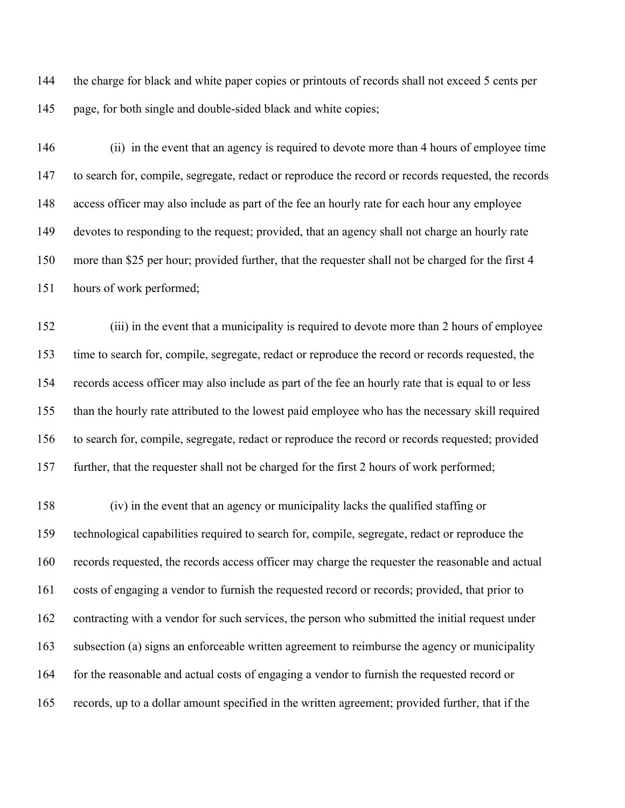144 the charge for black and white paper copies or printouts of records shall not exceed 5 cents per page, for both single and double-sided black and white copies;

 (ii) in the event that an agency is required to devote more than 4 hours of employee time to search for, compile, segregate, redact or reproduce the record or records requested, the records access officer may also include as part of the fee an hourly rate for each hour any employee devotes to responding to the request; provided, that an agency shall not charge an hourly rate more than \$25 per hour; provided further, that the requester shall not be charged for the first 4 hours of work performed;

 (iii) in the event that a municipality is required to devote more than 2 hours of employee time to search for, compile, segregate, redact or reproduce the record or records requested, the records access officer may also include as part of the fee an hourly rate that is equal to or less than the hourly rate attributed to the lowest paid employee who has the necessary skill required to search for, compile, segregate, redact or reproduce the record or records requested; provided further, that the requester shall not be charged for the first 2 hours of work performed;

 (iv) in the event that an agency or municipality lacks the qualified staffing or technological capabilities required to search for, compile, segregate, redact or reproduce the records requested, the records access officer may charge the requester the reasonable and actual costs of engaging a vendor to furnish the requested record or records; provided, that prior to contracting with a vendor for such services, the person who submitted the initial request under subsection (a) signs an enforceable written agreement to reimburse the agency or municipality for the reasonable and actual costs of engaging a vendor to furnish the requested record or records, up to a dollar amount specified in the written agreement; provided further, that if the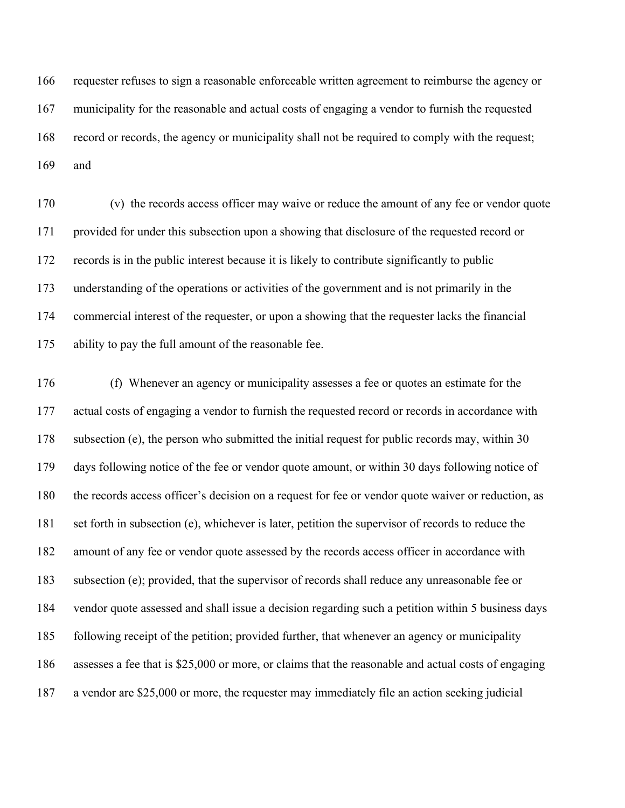requester refuses to sign a reasonable enforceable written agreement to reimburse the agency or municipality for the reasonable and actual costs of engaging a vendor to furnish the requested record or records, the agency or municipality shall not be required to comply with the request; and

 (v) the records access officer may waive or reduce the amount of any fee or vendor quote provided for under this subsection upon a showing that disclosure of the requested record or records is in the public interest because it is likely to contribute significantly to public understanding of the operations or activities of the government and is not primarily in the commercial interest of the requester, or upon a showing that the requester lacks the financial ability to pay the full amount of the reasonable fee.

 (f) Whenever an agency or municipality assesses a fee or quotes an estimate for the actual costs of engaging a vendor to furnish the requested record or records in accordance with subsection (e), the person who submitted the initial request for public records may, within 30 days following notice of the fee or vendor quote amount, or within 30 days following notice of the records access officer's decision on a request for fee or vendor quote waiver or reduction, as set forth in subsection (e), whichever is later, petition the supervisor of records to reduce the amount of any fee or vendor quote assessed by the records access officer in accordance with subsection (e); provided, that the supervisor of records shall reduce any unreasonable fee or vendor quote assessed and shall issue a decision regarding such a petition within 5 business days following receipt of the petition; provided further, that whenever an agency or municipality assesses a fee that is \$25,000 or more, or claims that the reasonable and actual costs of engaging a vendor are \$25,000 or more, the requester may immediately file an action seeking judicial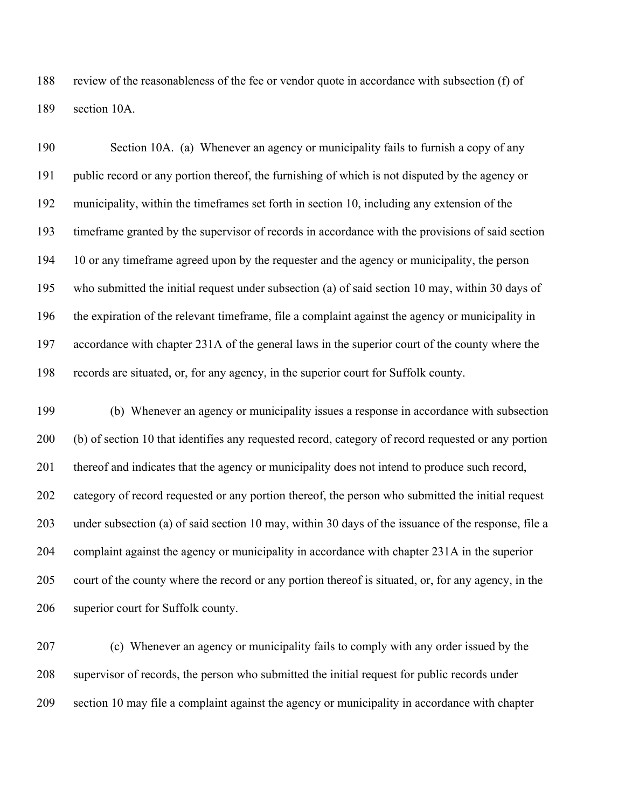review of the reasonableness of the fee or vendor quote in accordance with subsection (f) of section 10A.

 Section 10A. (a) Whenever an agency or municipality fails to furnish a copy of any public record or any portion thereof, the furnishing of which is not disputed by the agency or municipality, within the timeframes set forth in section 10, including any extension of the timeframe granted by the supervisor of records in accordance with the provisions of said section 10 or any timeframe agreed upon by the requester and the agency or municipality, the person who submitted the initial request under subsection (a) of said section 10 may, within 30 days of the expiration of the relevant timeframe, file a complaint against the agency or municipality in accordance with chapter 231A of the general laws in the superior court of the county where the records are situated, or, for any agency, in the superior court for Suffolk county.

 (b) Whenever an agency or municipality issues a response in accordance with subsection (b) of section 10 that identifies any requested record, category of record requested or any portion thereof and indicates that the agency or municipality does not intend to produce such record, category of record requested or any portion thereof, the person who submitted the initial request under subsection (a) of said section 10 may, within 30 days of the issuance of the response, file a complaint against the agency or municipality in accordance with chapter 231A in the superior court of the county where the record or any portion thereof is situated, or, for any agency, in the superior court for Suffolk county.

 (c) Whenever an agency or municipality fails to comply with any order issued by the supervisor of records, the person who submitted the initial request for public records under section 10 may file a complaint against the agency or municipality in accordance with chapter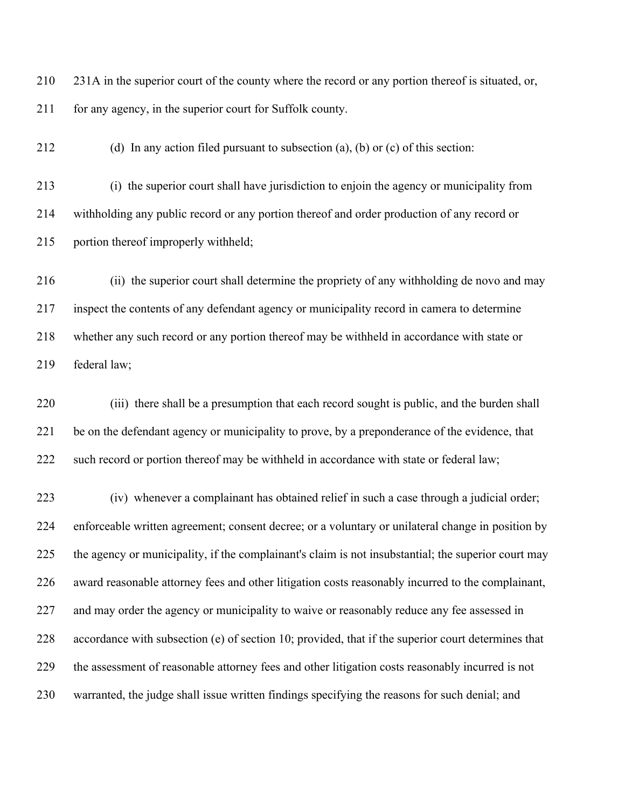231A in the superior court of the county where the record or any portion thereof is situated, or, 211 for any agency, in the superior court for Suffolk county.

(d) In any action filed pursuant to subsection (a), (b) or (c) of this section:

 (i) the superior court shall have jurisdiction to enjoin the agency or municipality from withholding any public record or any portion thereof and order production of any record or portion thereof improperly withheld;

 (ii) the superior court shall determine the propriety of any withholding de novo and may inspect the contents of any defendant agency or municipality record in camera to determine whether any such record or any portion thereof may be withheld in accordance with state or federal law;

 (iii) there shall be a presumption that each record sought is public, and the burden shall be on the defendant agency or municipality to prove, by a preponderance of the evidence, that 222 such record or portion thereof may be withheld in accordance with state or federal law;

 (iv) whenever a complainant has obtained relief in such a case through a judicial order; enforceable written agreement; consent decree; or a voluntary or unilateral change in position by the agency or municipality, if the complainant's claim is not insubstantial; the superior court may award reasonable attorney fees and other litigation costs reasonably incurred to the complainant, 227 and may order the agency or municipality to waive or reasonably reduce any fee assessed in accordance with subsection (e) of section 10; provided, that if the superior court determines that the assessment of reasonable attorney fees and other litigation costs reasonably incurred is not warranted, the judge shall issue written findings specifying the reasons for such denial; and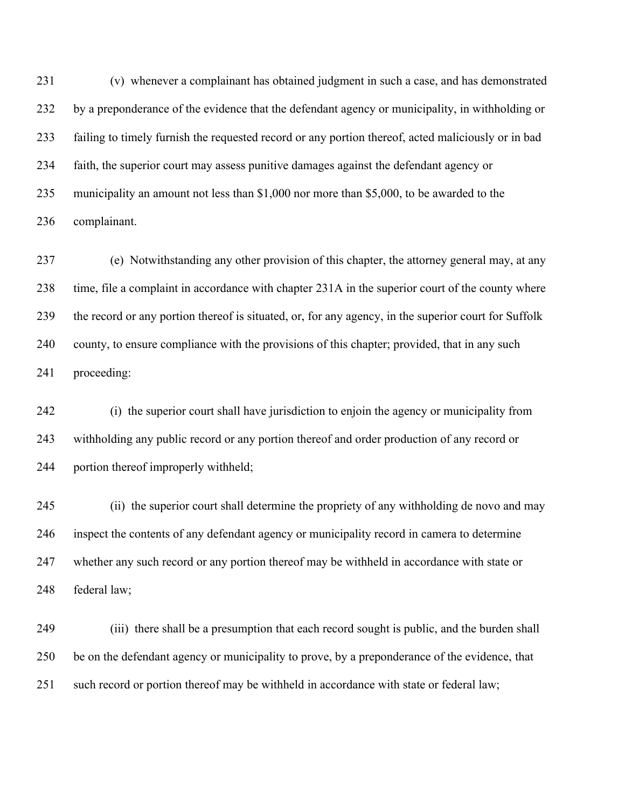(v) whenever a complainant has obtained judgment in such a case, and has demonstrated by a preponderance of the evidence that the defendant agency or municipality, in withholding or failing to timely furnish the requested record or any portion thereof, acted maliciously or in bad faith, the superior court may assess punitive damages against the defendant agency or municipality an amount not less than \$1,000 nor more than \$5,000, to be awarded to the complainant.

 (e) Notwithstanding any other provision of this chapter, the attorney general may, at any time, file a complaint in accordance with chapter 231A in the superior court of the county where the record or any portion thereof is situated, or, for any agency, in the superior court for Suffolk county, to ensure compliance with the provisions of this chapter; provided, that in any such proceeding:

 (i) the superior court shall have jurisdiction to enjoin the agency or municipality from withholding any public record or any portion thereof and order production of any record or portion thereof improperly withheld;

 (ii) the superior court shall determine the propriety of any withholding de novo and may inspect the contents of any defendant agency or municipality record in camera to determine whether any such record or any portion thereof may be withheld in accordance with state or federal law;

 (iii) there shall be a presumption that each record sought is public, and the burden shall be on the defendant agency or municipality to prove, by a preponderance of the evidence, that such record or portion thereof may be withheld in accordance with state or federal law;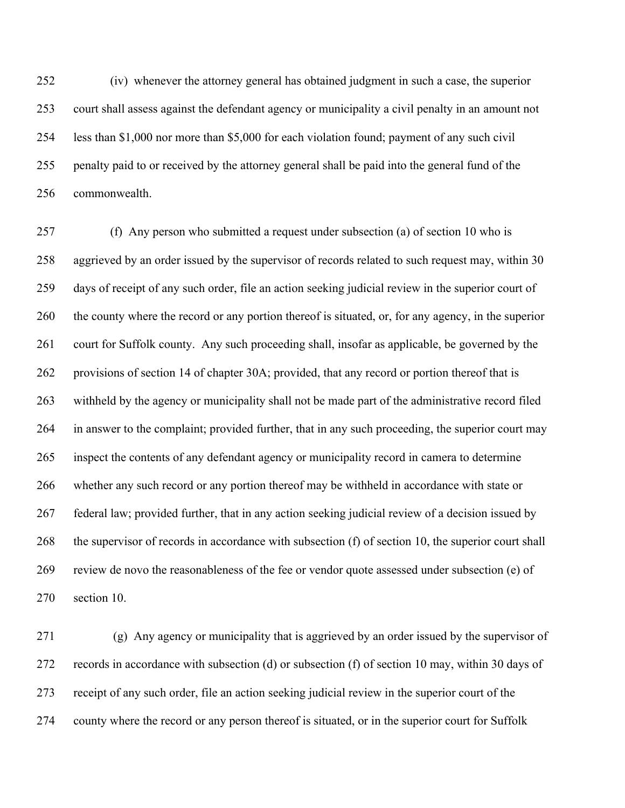(iv) whenever the attorney general has obtained judgment in such a case, the superior court shall assess against the defendant agency or municipality a civil penalty in an amount not less than \$1,000 nor more than \$5,000 for each violation found; payment of any such civil penalty paid to or received by the attorney general shall be paid into the general fund of the commonwealth.

 (f) Any person who submitted a request under subsection (a) of section 10 who is aggrieved by an order issued by the supervisor of records related to such request may, within 30 days of receipt of any such order, file an action seeking judicial review in the superior court of the county where the record or any portion thereof is situated, or, for any agency, in the superior court for Suffolk county. Any such proceeding shall, insofar as applicable, be governed by the provisions of section 14 of chapter 30A; provided, that any record or portion thereof that is withheld by the agency or municipality shall not be made part of the administrative record filed in answer to the complaint; provided further, that in any such proceeding, the superior court may inspect the contents of any defendant agency or municipality record in camera to determine whether any such record or any portion thereof may be withheld in accordance with state or federal law; provided further, that in any action seeking judicial review of a decision issued by the supervisor of records in accordance with subsection (f) of section 10, the superior court shall review de novo the reasonableness of the fee or vendor quote assessed under subsection (e) of section 10.

 (g) Any agency or municipality that is aggrieved by an order issued by the supervisor of records in accordance with subsection (d) or subsection (f) of section 10 may, within 30 days of receipt of any such order, file an action seeking judicial review in the superior court of the county where the record or any person thereof is situated, or in the superior court for Suffolk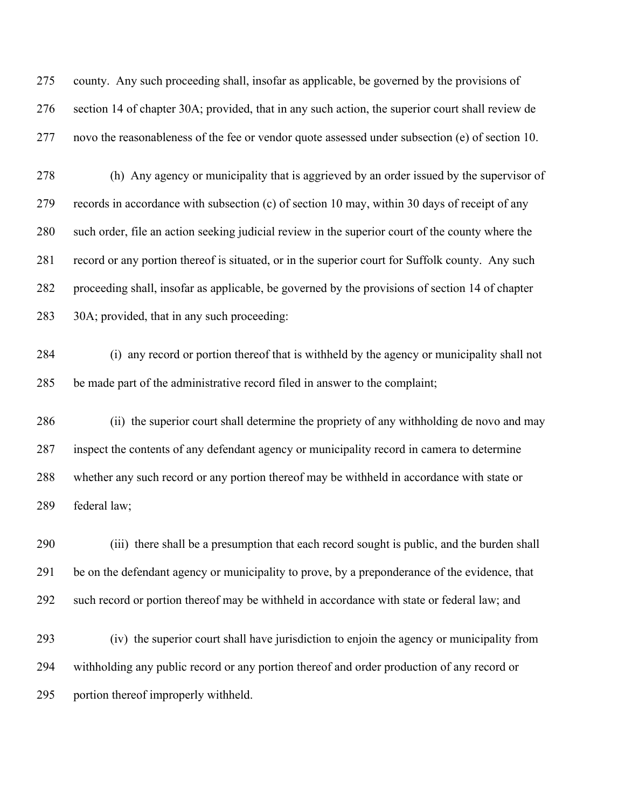county. Any such proceeding shall, insofar as applicable, be governed by the provisions of section 14 of chapter 30A; provided, that in any such action, the superior court shall review de novo the reasonableness of the fee or vendor quote assessed under subsection (e) of section 10.

 (h) Any agency or municipality that is aggrieved by an order issued by the supervisor of records in accordance with subsection (c) of section 10 may, within 30 days of receipt of any such order, file an action seeking judicial review in the superior court of the county where the record or any portion thereof is situated, or in the superior court for Suffolk county. Any such proceeding shall, insofar as applicable, be governed by the provisions of section 14 of chapter 30A; provided, that in any such proceeding:

 (i) any record or portion thereof that is withheld by the agency or municipality shall not be made part of the administrative record filed in answer to the complaint;

 (ii) the superior court shall determine the propriety of any withholding de novo and may inspect the contents of any defendant agency or municipality record in camera to determine whether any such record or any portion thereof may be withheld in accordance with state or federal law;

 (iii) there shall be a presumption that each record sought is public, and the burden shall be on the defendant agency or municipality to prove, by a preponderance of the evidence, that such record or portion thereof may be withheld in accordance with state or federal law; and

 (iv) the superior court shall have jurisdiction to enjoin the agency or municipality from withholding any public record or any portion thereof and order production of any record or portion thereof improperly withheld.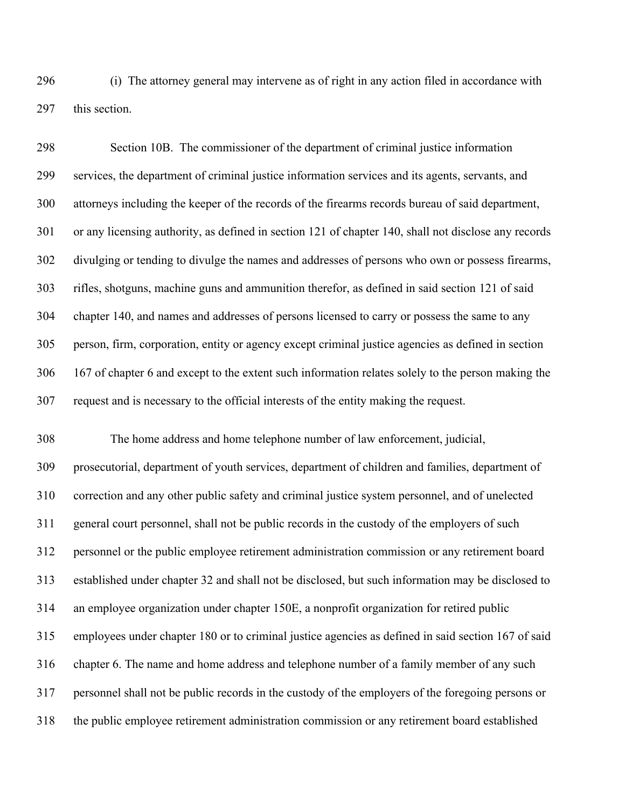(i) The attorney general may intervene as of right in any action filed in accordance with this section.

 Section 10B. The commissioner of the department of criminal justice information services, the department of criminal justice information services and its agents, servants, and attorneys including the keeper of the records of the firearms records bureau of said department, or any licensing authority, as defined in section 121 of chapter 140, shall not disclose any records divulging or tending to divulge the names and addresses of persons who own or possess firearms, rifles, shotguns, machine guns and ammunition therefor, as defined in said section 121 of said chapter 140, and names and addresses of persons licensed to carry or possess the same to any person, firm, corporation, entity or agency except criminal justice agencies as defined in section 167 of chapter 6 and except to the extent such information relates solely to the person making the request and is necessary to the official interests of the entity making the request.

 The home address and home telephone number of law enforcement, judicial, prosecutorial, department of youth services, department of children and families, department of correction and any other public safety and criminal justice system personnel, and of unelected general court personnel, shall not be public records in the custody of the employers of such personnel or the public employee retirement administration commission or any retirement board established under chapter 32 and shall not be disclosed, but such information may be disclosed to an employee organization under chapter 150E, a nonprofit organization for retired public employees under chapter 180 or to criminal justice agencies as defined in said section 167 of said chapter 6. The name and home address and telephone number of a family member of any such personnel shall not be public records in the custody of the employers of the foregoing persons or the public employee retirement administration commission or any retirement board established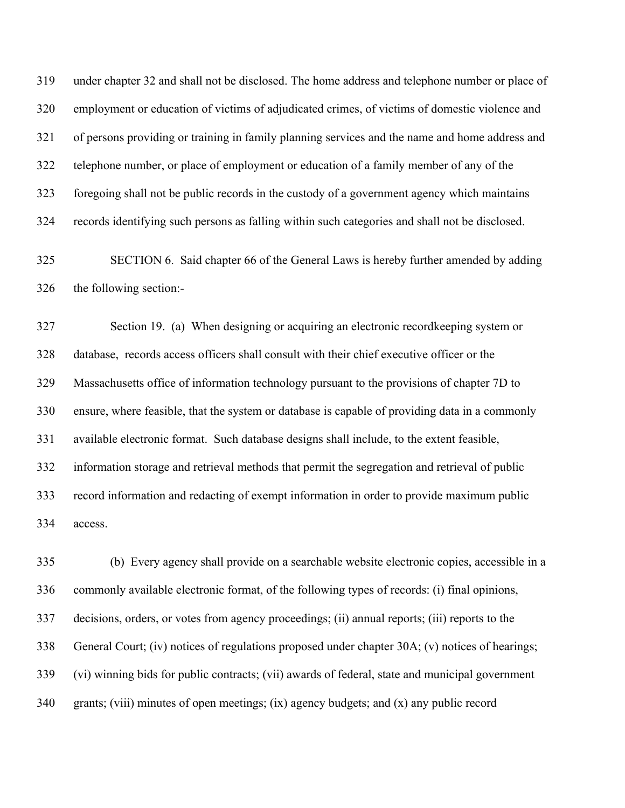under chapter 32 and shall not be disclosed. The home address and telephone number or place of employment or education of victims of adjudicated crimes, of victims of domestic violence and of persons providing or training in family planning services and the name and home address and telephone number, or place of employment or education of a family member of any of the foregoing shall not be public records in the custody of a government agency which maintains records identifying such persons as falling within such categories and shall not be disclosed.

 SECTION 6. Said chapter 66 of the General Laws is hereby further amended by adding the following section:-

 Section 19. (a) When designing or acquiring an electronic recordkeeping system or database, records access officers shall consult with their chief executive officer or the Massachusetts office of information technology pursuant to the provisions of chapter 7D to ensure, where feasible, that the system or database is capable of providing data in a commonly available electronic format. Such database designs shall include, to the extent feasible, information storage and retrieval methods that permit the segregation and retrieval of public record information and redacting of exempt information in order to provide maximum public access.

 (b) Every agency shall provide on a searchable website electronic copies, accessible in a commonly available electronic format, of the following types of records: (i) final opinions, decisions, orders, or votes from agency proceedings; (ii) annual reports; (iii) reports to the General Court; (iv) notices of regulations proposed under chapter 30A; (v) notices of hearings; (vi) winning bids for public contracts; (vii) awards of federal, state and municipal government grants; (viii) minutes of open meetings; (ix) agency budgets; and (x) any public record